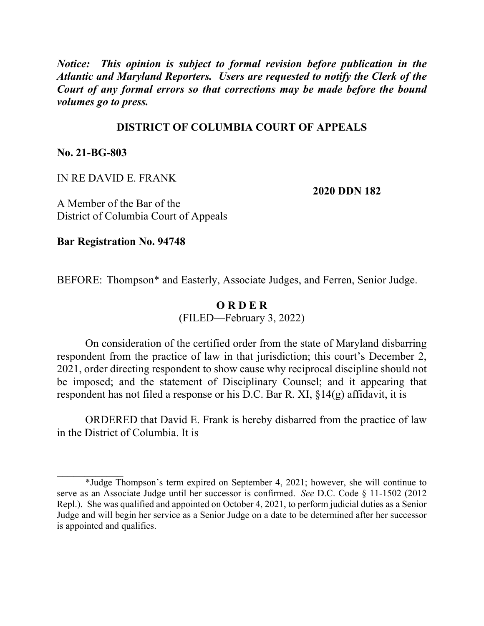*Notice: This opinion is subject to formal revision before publication in the Atlantic and Maryland Reporters. Users are requested to notify the Clerk of the Court of any formal errors so that corrections may be made before the bound volumes go to press.*

## **DISTRICT OF COLUMBIA COURT OF APPEALS**

**No. 21-BG-803**

 $\mathcal{L}_\text{max}$ 

IN RE DAVID E. FRANK

**2020 DDN 182**

A Member of the Bar of the District of Columbia Court of Appeals

**Bar Registration No. 94748**

BEFORE: Thompson\* and Easterly, Associate Judges, and Ferren, Senior Judge.

## **O R D E R**

(FILED—February 3, 2022)

On consideration of the certified order from the state of Maryland disbarring respondent from the practice of law in that jurisdiction; this court's December 2, 2021, order directing respondent to show cause why reciprocal discipline should not be imposed; and the statement of Disciplinary Counsel; and it appearing that respondent has not filed a response or his D.C. Bar R. XI, §14(g) affidavit, it is

ORDERED that David E. Frank is hereby disbarred from the practice of law in the District of Columbia. It is

<sup>\*</sup>Judge Thompson's term expired on September 4, 2021; however, she will continue to serve as an Associate Judge until her successor is confirmed. *See* D.C. Code § 11-1502 (2012 Repl.). She was qualified and appointed on October 4, 2021, to perform judicial duties as a Senior Judge and will begin her service as a Senior Judge on a date to be determined after her successor is appointed and qualifies.